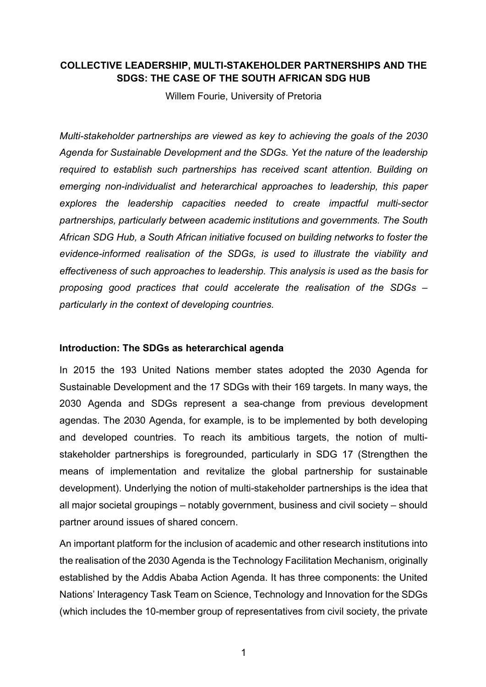# **COLLECTIVE LEADERSHIP, MULTI-STAKEHOLDER PARTNERSHIPS AND THE SDGS: THE CASE OF THE SOUTH AFRICAN SDG HUB**

Willem Fourie, University of Pretoria

*Multi-stakeholder partnerships are viewed as key to achieving the goals of the 2030 Agenda for Sustainable Development and the SDGs. Yet the nature of the leadership required to establish such partnerships has received scant attention. Building on emerging non-individualist and heterarchical approaches to leadership, this paper explores the leadership capacities needed to create impactful multi-sector partnerships, particularly between academic institutions and governments. The South African SDG Hub, a South African initiative focused on building networks to foster the evidence-informed realisation of the SDGs, is used to illustrate the viability and effectiveness of such approaches to leadership. This analysis is used as the basis for proposing good practices that could accelerate the realisation of the SDGs – particularly in the context of developing countries.*

## **Introduction: The SDGs as heterarchical agenda**

In 2015 the 193 United Nations member states adopted the 2030 Agenda for Sustainable Development and the 17 SDGs with their 169 targets. In many ways, the 2030 Agenda and SDGs represent a sea-change from previous development agendas. The 2030 Agenda, for example, is to be implemented by both developing and developed countries. To reach its ambitious targets, the notion of multistakeholder partnerships is foregrounded, particularly in SDG 17 (Strengthen the means of implementation and revitalize the global partnership for sustainable development). Underlying the notion of multi-stakeholder partnerships is the idea that all major societal groupings – notably government, business and civil society – should partner around issues of shared concern.

An important platform for the inclusion of academic and other research institutions into the realisation of the 2030 Agenda is the Technology Facilitation Mechanism, originally established by the Addis Ababa Action Agenda. It has three components: the United Nations' Interagency Task Team on Science, Technology and Innovation for the SDGs (which includes the 10-member group of representatives from civil society, the private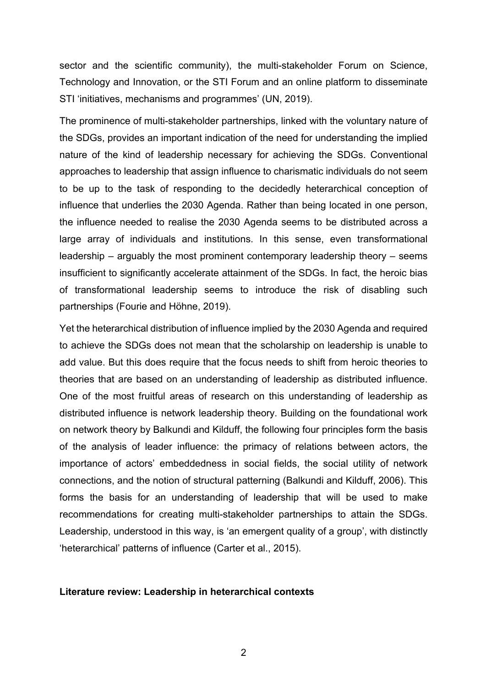sector and the scientific community), the multi-stakeholder Forum on Science, Technology and Innovation, or the STI Forum and an online platform to disseminate STI 'initiatives, mechanisms and programmes' (UN, 2019).

The prominence of multi-stakeholder partnerships, linked with the voluntary nature of the SDGs, provides an important indication of the need for understanding the implied nature of the kind of leadership necessary for achieving the SDGs. Conventional approaches to leadership that assign influence to charismatic individuals do not seem to be up to the task of responding to the decidedly heterarchical conception of influence that underlies the 2030 Agenda. Rather than being located in one person, the influence needed to realise the 2030 Agenda seems to be distributed across a large array of individuals and institutions. In this sense, even transformational leadership – arguably the most prominent contemporary leadership theory – seems insufficient to significantly accelerate attainment of the SDGs. In fact, the heroic bias of transformational leadership seems to introduce the risk of disabling such partnerships (Fourie and Höhne, 2019).

Yet the heterarchical distribution of influence implied by the 2030 Agenda and required to achieve the SDGs does not mean that the scholarship on leadership is unable to add value. But this does require that the focus needs to shift from heroic theories to theories that are based on an understanding of leadership as distributed influence. One of the most fruitful areas of research on this understanding of leadership as distributed influence is network leadership theory. Building on the foundational work on network theory by Balkundi and Kilduff, the following four principles form the basis of the analysis of leader influence: the primacy of relations between actors, the importance of actors' embeddedness in social fields, the social utility of network connections, and the notion of structural patterning (Balkundi and Kilduff, 2006). This forms the basis for an understanding of leadership that will be used to make recommendations for creating multi-stakeholder partnerships to attain the SDGs. Leadership, understood in this way, is 'an emergent quality of a group', with distinctly 'heterarchical' patterns of influence (Carter et al., 2015).

### **Literature review: Leadership in heterarchical contexts**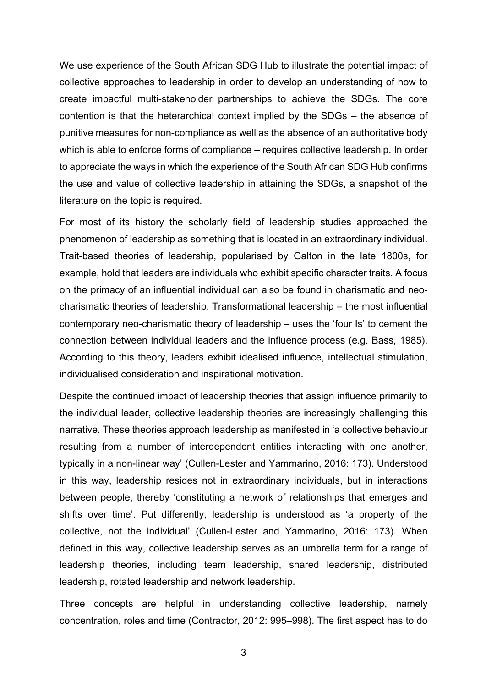We use experience of the South African SDG Hub to illustrate the potential impact of collective approaches to leadership in order to develop an understanding of how to create impactful multi-stakeholder partnerships to achieve the SDGs. The core contention is that the heterarchical context implied by the SDGs – the absence of punitive measures for non-compliance as well as the absence of an authoritative body which is able to enforce forms of compliance – requires collective leadership. In order to appreciate the ways in which the experience of the South African SDG Hub confirms the use and value of collective leadership in attaining the SDGs, a snapshot of the literature on the topic is required.

For most of its history the scholarly field of leadership studies approached the phenomenon of leadership as something that is located in an extraordinary individual. Trait-based theories of leadership, popularised by Galton in the late 1800s, for example, hold that leaders are individuals who exhibit specific character traits. A focus on the primacy of an influential individual can also be found in charismatic and neocharismatic theories of leadership. Transformational leadership – the most influential contemporary neo-charismatic theory of leadership – uses the 'four Is' to cement the connection between individual leaders and the influence process (e.g. Bass, 1985). According to this theory, leaders exhibit idealised influence, intellectual stimulation, individualised consideration and inspirational motivation.

Despite the continued impact of leadership theories that assign influence primarily to the individual leader, collective leadership theories are increasingly challenging this narrative. These theories approach leadership as manifested in 'a collective behaviour resulting from a number of interdependent entities interacting with one another, typically in a non-linear way' (Cullen-Lester and Yammarino, 2016: 173). Understood in this way, leadership resides not in extraordinary individuals, but in interactions between people, thereby 'constituting a network of relationships that emerges and shifts over time'. Put differently, leadership is understood as 'a property of the collective, not the individual' (Cullen-Lester and Yammarino, 2016: 173). When defined in this way, collective leadership serves as an umbrella term for a range of leadership theories, including team leadership, shared leadership, distributed leadership, rotated leadership and network leadership.

Three concepts are helpful in understanding collective leadership, namely concentration, roles and time (Contractor, 2012: 995–998). The first aspect has to do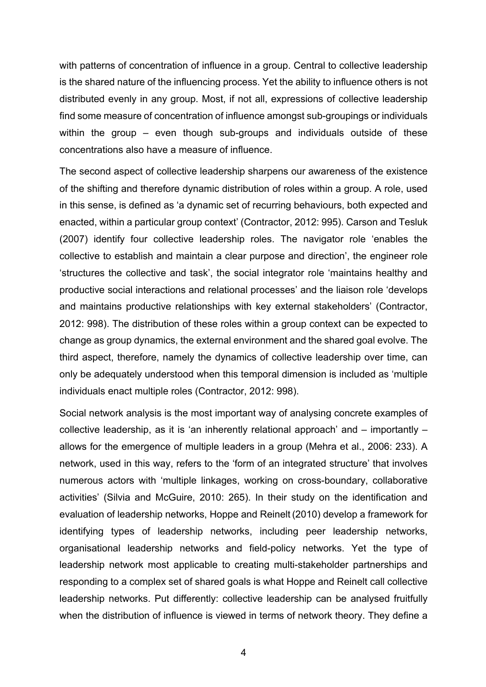with patterns of concentration of influence in a group. Central to collective leadership is the shared nature of the influencing process. Yet the ability to influence others is not distributed evenly in any group. Most, if not all, expressions of collective leadership find some measure of concentration of influence amongst sub-groupings or individuals within the group – even though sub-groups and individuals outside of these concentrations also have a measure of influence.

The second aspect of collective leadership sharpens our awareness of the existence of the shifting and therefore dynamic distribution of roles within a group. A role, used in this sense, is defined as 'a dynamic set of recurring behaviours, both expected and enacted, within a particular group context' (Contractor, 2012: 995). Carson and Tesluk (2007) identify four collective leadership roles. The navigator role 'enables the collective to establish and maintain a clear purpose and direction', the engineer role 'structures the collective and task', the social integrator role 'maintains healthy and productive social interactions and relational processes' and the liaison role 'develops and maintains productive relationships with key external stakeholders' (Contractor, 2012: 998). The distribution of these roles within a group context can be expected to change as group dynamics, the external environment and the shared goal evolve. The third aspect, therefore, namely the dynamics of collective leadership over time, can only be adequately understood when this temporal dimension is included as 'multiple individuals enact multiple roles (Contractor, 2012: 998).

Social network analysis is the most important way of analysing concrete examples of collective leadership, as it is 'an inherently relational approach' and – importantly – allows for the emergence of multiple leaders in a group (Mehra et al., 2006: 233). A network, used in this way, refers to the 'form of an integrated structure' that involves numerous actors with 'multiple linkages, working on cross-boundary, collaborative activities' (Silvia and McGuire, 2010: 265). In their study on the identification and evaluation of leadership networks, Hoppe and Reinelt (2010) develop a framework for identifying types of leadership networks, including peer leadership networks, organisational leadership networks and field-policy networks. Yet the type of leadership network most applicable to creating multi-stakeholder partnerships and responding to a complex set of shared goals is what Hoppe and Reinelt call collective leadership networks. Put differently: collective leadership can be analysed fruitfully when the distribution of influence is viewed in terms of network theory. They define a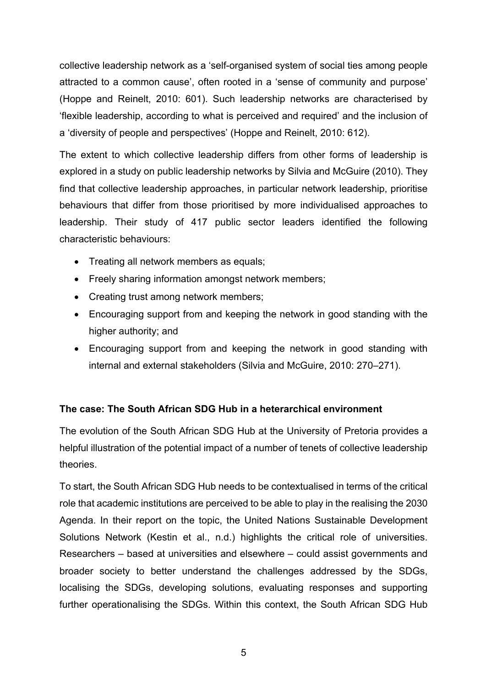collective leadership network as a 'self-organised system of social ties among people attracted to a common cause', often rooted in a 'sense of community and purpose' (Hoppe and Reinelt, 2010: 601). Such leadership networks are characterised by 'flexible leadership, according to what is perceived and required' and the inclusion of a 'diversity of people and perspectives' (Hoppe and Reinelt, 2010: 612).

The extent to which collective leadership differs from other forms of leadership is explored in a study on public leadership networks by Silvia and McGuire (2010). They find that collective leadership approaches, in particular network leadership, prioritise behaviours that differ from those prioritised by more individualised approaches to leadership. Their study of 417 public sector leaders identified the following characteristic behaviours:

- Treating all network members as equals;
- Freely sharing information amongst network members;
- Creating trust among network members;
- Encouraging support from and keeping the network in good standing with the higher authority; and
- Encouraging support from and keeping the network in good standing with internal and external stakeholders (Silvia and McGuire, 2010: 270–271).

# **The case: The South African SDG Hub in a heterarchical environment**

The evolution of the South African SDG Hub at the University of Pretoria provides a helpful illustration of the potential impact of a number of tenets of collective leadership theories.

To start, the South African SDG Hub needs to be contextualised in terms of the critical role that academic institutions are perceived to be able to play in the realising the 2030 Agenda. In their report on the topic, the United Nations Sustainable Development Solutions Network (Kestin et al., n.d.) highlights the critical role of universities. Researchers – based at universities and elsewhere – could assist governments and broader society to better understand the challenges addressed by the SDGs, localising the SDGs, developing solutions, evaluating responses and supporting further operationalising the SDGs. Within this context, the South African SDG Hub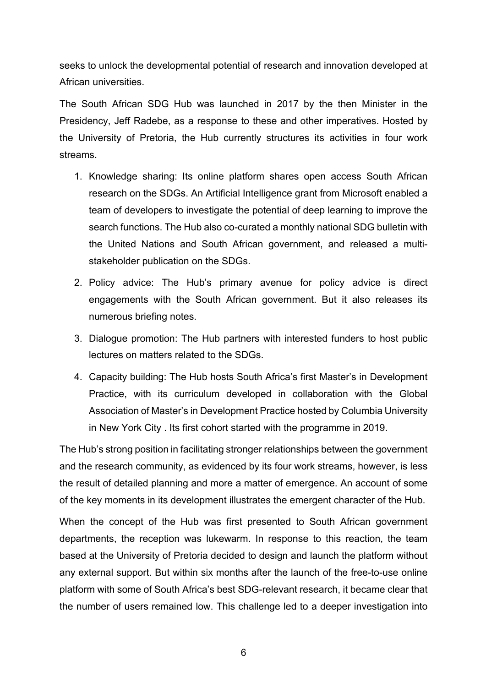seeks to unlock the developmental potential of research and innovation developed at African universities.

The South African SDG Hub was launched in 2017 by the then Minister in the Presidency, Jeff Radebe, as a response to these and other imperatives. Hosted by the University of Pretoria, the Hub currently structures its activities in four work streams.

- 1. Knowledge sharing: Its online platform shares open access South African research on the SDGs. An Artificial Intelligence grant from Microsoft enabled a team of developers to investigate the potential of deep learning to improve the search functions. The Hub also co-curated a monthly national SDG bulletin with the United Nations and South African government, and released a multistakeholder publication on the SDGs.
- 2. Policy advice: The Hub's primary avenue for policy advice is direct engagements with the South African government. But it also releases its numerous briefing notes.
- 3. Dialogue promotion: The Hub partners with interested funders to host public lectures on matters related to the SDGs.
- 4. Capacity building: The Hub hosts South Africa's first Master's in Development Practice, with its curriculum developed in collaboration with the Global Association of Master's in Development Practice hosted by Columbia University in New York City . Its first cohort started with the programme in 2019.

The Hub's strong position in facilitating stronger relationships between the government and the research community, as evidenced by its four work streams, however, is less the result of detailed planning and more a matter of emergence. An account of some of the key moments in its development illustrates the emergent character of the Hub.

When the concept of the Hub was first presented to South African government departments, the reception was lukewarm. In response to this reaction, the team based at the University of Pretoria decided to design and launch the platform without any external support. But within six months after the launch of the free-to-use online platform with some of South Africa's best SDG-relevant research, it became clear that the number of users remained low. This challenge led to a deeper investigation into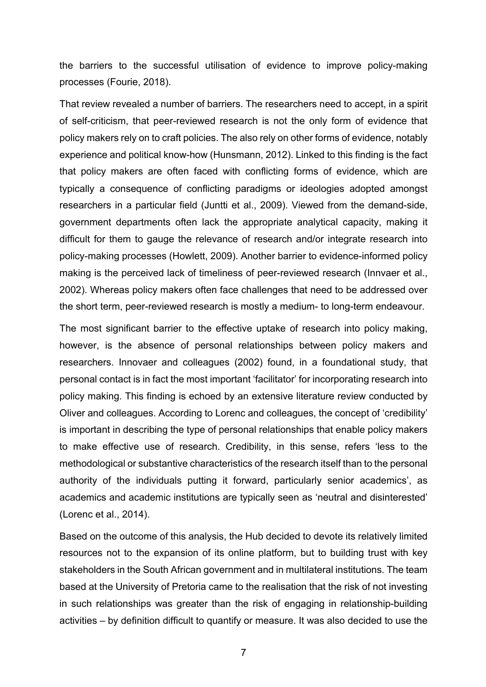the barriers to the successful utilisation of evidence to improve policy-making processes (Fourie, 2018).

That review revealed a number of barriers. The researchers need to accept, in a spirit of self-criticism, that peer-reviewed research is not the only form of evidence that policy makers rely on to craft policies. The also rely on other forms of evidence, notably experience and political know-how (Hunsmann, 2012). Linked to this finding is the fact that policy makers are often faced with conflicting forms of evidence, which are typically a consequence of conflicting paradigms or ideologies adopted amongst researchers in a particular field (Juntti et al., 2009). Viewed from the demand-side, government departments often lack the appropriate analytical capacity, making it difficult for them to gauge the relevance of research and/or integrate research into policy-making processes (Howlett, 2009). Another barrier to evidence-informed policy making is the perceived lack of timeliness of peer-reviewed research (Innvaer et al., 2002). Whereas policy makers often face challenges that need to be addressed over the short term, peer-reviewed research is mostly a medium- to long-term endeavour.

The most significant barrier to the effective uptake of research into policy making, however, is the absence of personal relationships between policy makers and researchers. Innovaer and colleagues (2002) found, in a foundational study, that personal contact is in fact the most important 'facilitator' for incorporating research into policy making. This finding is echoed by an extensive literature review conducted by Oliver and colleagues. According to Lorenc and colleagues, the concept of 'credibility' is important in describing the type of personal relationships that enable policy makers to make effective use of research. Credibility, in this sense, refers 'less to the methodological or substantive characteristics of the research itself than to the personal authority of the individuals putting it forward, particularly senior academics', as academics and academic institutions are typically seen as 'neutral and disinterested' (Lorenc et al., 2014).

Based on the outcome of this analysis, the Hub decided to devote its relatively limited resources not to the expansion of its online platform, but to building trust with key stakeholders in the South African government and in multilateral institutions. The team based at the University of Pretoria came to the realisation that the risk of not investing in such relationships was greater than the risk of engaging in relationship-building activities – by definition difficult to quantify or measure. It was also decided to use the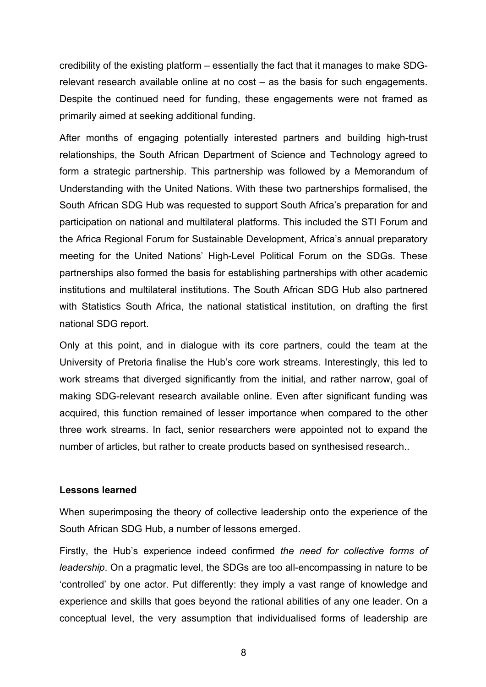credibility of the existing platform – essentially the fact that it manages to make SDGrelevant research available online at no cost – as the basis for such engagements. Despite the continued need for funding, these engagements were not framed as primarily aimed at seeking additional funding.

After months of engaging potentially interested partners and building high-trust relationships, the South African Department of Science and Technology agreed to form a strategic partnership. This partnership was followed by a Memorandum of Understanding with the United Nations. With these two partnerships formalised, the South African SDG Hub was requested to support South Africa's preparation for and participation on national and multilateral platforms. This included the STI Forum and the Africa Regional Forum for Sustainable Development, Africa's annual preparatory meeting for the United Nations' High-Level Political Forum on the SDGs. These partnerships also formed the basis for establishing partnerships with other academic institutions and multilateral institutions. The South African SDG Hub also partnered with Statistics South Africa, the national statistical institution, on drafting the first national SDG report.

Only at this point, and in dialogue with its core partners, could the team at the University of Pretoria finalise the Hub's core work streams. Interestingly, this led to work streams that diverged significantly from the initial, and rather narrow, goal of making SDG-relevant research available online. Even after significant funding was acquired, this function remained of lesser importance when compared to the other three work streams. In fact, senior researchers were appointed not to expand the number of articles, but rather to create products based on synthesised research..

### **Lessons learned**

When superimposing the theory of collective leadership onto the experience of the South African SDG Hub, a number of lessons emerged.

Firstly, the Hub's experience indeed confirmed *the need for collective forms of leadership*. On a pragmatic level, the SDGs are too all-encompassing in nature to be 'controlled' by one actor. Put differently: they imply a vast range of knowledge and experience and skills that goes beyond the rational abilities of any one leader. On a conceptual level, the very assumption that individualised forms of leadership are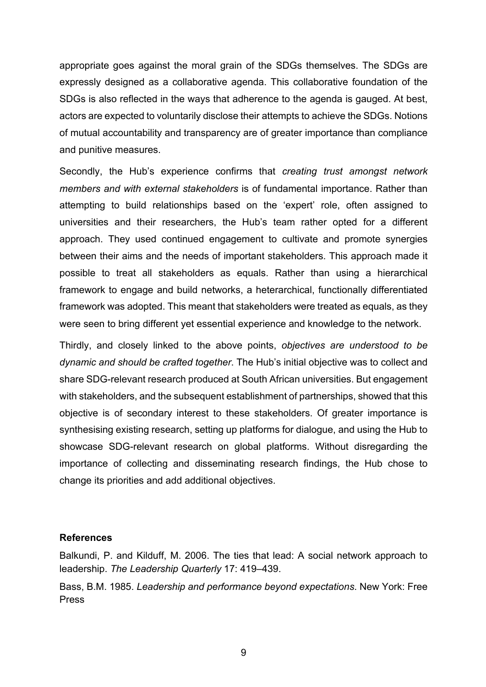appropriate goes against the moral grain of the SDGs themselves. The SDGs are expressly designed as a collaborative agenda. This collaborative foundation of the SDGs is also reflected in the ways that adherence to the agenda is gauged. At best, actors are expected to voluntarily disclose their attempts to achieve the SDGs. Notions of mutual accountability and transparency are of greater importance than compliance and punitive measures.

Secondly, the Hub's experience confirms that *creating trust amongst network members and with external stakeholders* is of fundamental importance. Rather than attempting to build relationships based on the 'expert' role, often assigned to universities and their researchers, the Hub's team rather opted for a different approach. They used continued engagement to cultivate and promote synergies between their aims and the needs of important stakeholders. This approach made it possible to treat all stakeholders as equals. Rather than using a hierarchical framework to engage and build networks, a heterarchical, functionally differentiated framework was adopted. This meant that stakeholders were treated as equals, as they were seen to bring different yet essential experience and knowledge to the network.

Thirdly, and closely linked to the above points, *objectives are understood to be dynamic and should be crafted together*. The Hub's initial objective was to collect and share SDG-relevant research produced at South African universities. But engagement with stakeholders, and the subsequent establishment of partnerships, showed that this objective is of secondary interest to these stakeholders. Of greater importance is synthesising existing research, setting up platforms for dialogue, and using the Hub to showcase SDG-relevant research on global platforms. Without disregarding the importance of collecting and disseminating research findings, the Hub chose to change its priorities and add additional objectives.

#### **References**

Balkundi, P. and Kilduff, M. 2006. The ties that lead: A social network approach to leadership. *The Leadership Quarterly* 17: 419–439.

Bass, B.M. 1985. *Leadership and performance beyond expectations*. New York: Free Press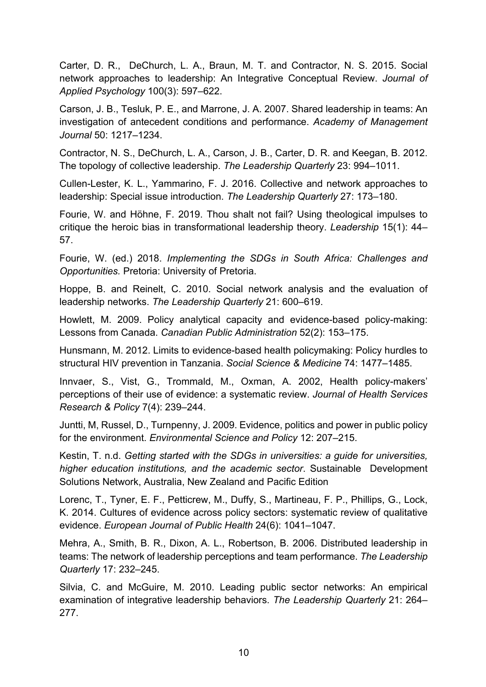Carter, D. R., DeChurch, L. A., Braun, M. T. and Contractor, N. S. 2015. Social network approaches to leadership: An Integrative Conceptual Review. *Journal of Applied Psychology* 100(3): 597–622.

Carson, J. B., Tesluk, P. E., and Marrone, J. A. 2007. Shared leadership in teams: An investigation of antecedent conditions and performance. *Academy of Management Journal* 50: 1217–1234.

Contractor, N. S., DeChurch, L. A., Carson, J. B., Carter, D. R. and Keegan, B. 2012. The topology of collective leadership. *The Leadership Quarterly* 23: 994–1011.

Cullen-Lester, K. L., Yammarino, F. J. 2016. Collective and network approaches to leadership: Special issue introduction. *The Leadership Quarterly* 27: 173–180.

Fourie, W. and Höhne, F. 2019. Thou shalt not fail? Using theological impulses to critique the heroic bias in transformational leadership theory. *Leadership* 15(1): 44– 57.

Fourie, W. (ed.) 2018. *Implementing the SDGs in South Africa: Challenges and Opportunities.* Pretoria: University of Pretoria.

Hoppe, B. and Reinelt, C. 2010. Social network analysis and the evaluation of leadership networks. *The Leadership Quarterly* 21: 600–619.

Howlett, M. 2009. Policy analytical capacity and evidence-based policy-making: Lessons from Canada. *Canadian Public Administration* 52(2): 153–175.

Hunsmann, M. 2012. Limits to evidence-based health policymaking: Policy hurdles to structural HIV prevention in Tanzania. *Social Science & Medicine* 74: 1477–1485.

Innvaer, S., Vist, G., Trommald, M., Oxman, A. 2002, Health policy-makers' perceptions of their use of evidence: a systematic review. *Journal of Health Services Research & Policy* 7(4): 239–244.

Juntti, M, Russel, D., Turnpenny, J. 2009. Evidence, politics and power in public policy for the environment. *Environmental Science and Policy* 12: 207–215.

Kestin, T. n.d. *Getting started with the SDGs in universities: a guide for universities, higher education institutions, and the academic sector*. Sustainable Development Solutions Network, Australia, New Zealand and Pacific Edition

Lorenc, T., Tyner, E. F., Petticrew, M., Duffy, S., Martineau, F. P., Phillips, G., Lock, K. 2014. Cultures of evidence across policy sectors: systematic review of qualitative evidence. *European Journal of Public Health* 24(6): 1041–1047.

Mehra, A., Smith, B. R., Dixon, A. L., Robertson, B. 2006. Distributed leadership in teams: The network of leadership perceptions and team performance. *The Leadership Quarterly* 17: 232–245.

Silvia, C. and McGuire, M. 2010. Leading public sector networks: An empirical examination of integrative leadership behaviors. *The Leadership Quarterly* 21: 264– 277.